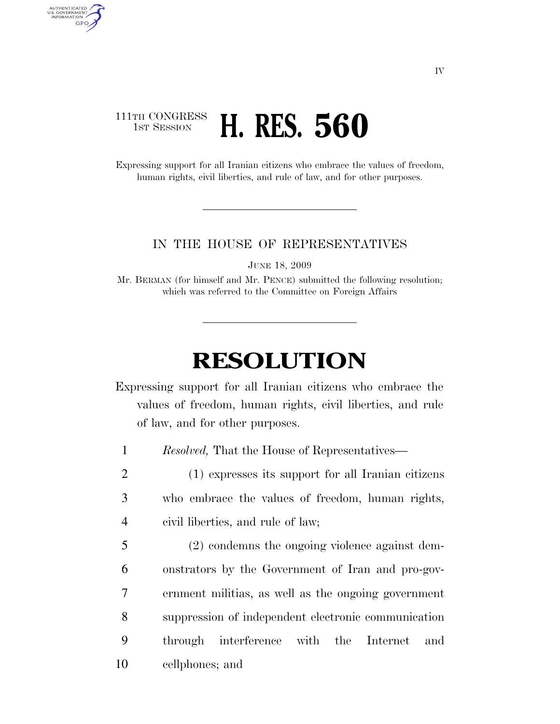## 111TH CONGRESS **1st Session H. RES. 560**

AUTHENTICATED<br>U.S. GOVERNMENT<br>INFORMATION **GPO** 

> Expressing support for all Iranian citizens who embrace the values of freedom, human rights, civil liberties, and rule of law, and for other purposes.

## IN THE HOUSE OF REPRESENTATIVES

JUNE 18, 2009

Mr. BERMAN (for himself and Mr. PENCE) submitted the following resolution; which was referred to the Committee on Foreign Affairs

## **RESOLUTION**

Expressing support for all Iranian citizens who embrace the values of freedom, human rights, civil liberties, and rule of law, and for other purposes.

1 *Resolved,* That the House of Representatives—

2 (1) expresses its support for all Iranian citizens 3 who embrace the values of freedom, human rights, 4 civil liberties, and rule of law;

 (2) condemns the ongoing violence against dem- onstrators by the Government of Iran and pro-gov- ernment militias, as well as the ongoing government suppression of independent electronic communication through interference with the Internet and cellphones; and